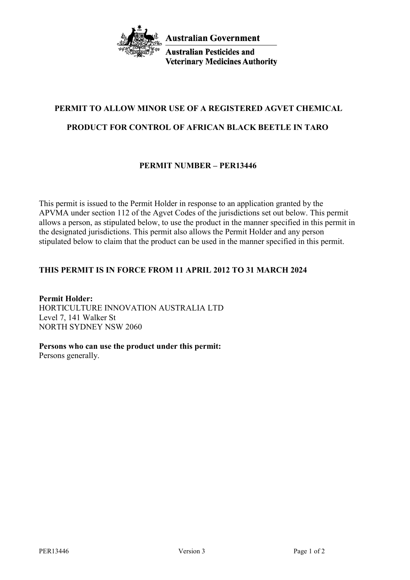

**Australian Pesticides and Veterinary Medicines Authority** 

# **PERMIT TO ALLOW MINOR USE OF A REGISTERED AGVET CHEMICAL**

## **PRODUCT FOR CONTROL OF AFRICAN BLACK BEETLE IN TARO**

## **PERMIT NUMBER – PER13446**

This permit is issued to the Permit Holder in response to an application granted by the APVMA under section 112 of the Agvet Codes of the jurisdictions set out below. This permit allows a person, as stipulated below, to use the product in the manner specified in this permit in the designated jurisdictions. This permit also allows the Permit Holder and any person stipulated below to claim that the product can be used in the manner specified in this permit.

## **THIS PERMIT IS IN FORCE FROM 11 APRIL 2012 TO 31 MARCH 2024**

**Permit Holder:** HORTICULTURE INNOVATION AUSTRALIA LTD Level 7, 141 Walker St NORTH SYDNEY NSW 2060

**Persons who can use the product under this permit:**

Persons generally.